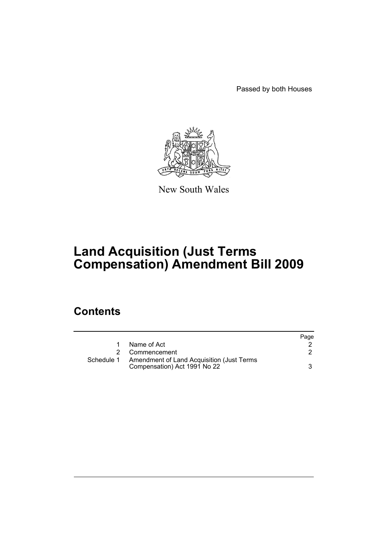Passed by both Houses



New South Wales

# **Land Acquisition (Just Terms Compensation) Amendment Bill 2009**

## **Contents**

|            |                                                                           | Page |
|------------|---------------------------------------------------------------------------|------|
|            | Name of Act                                                               |      |
|            | 2 Commencement                                                            |      |
| Schedule 1 | Amendment of Land Acquisition (Just Terms<br>Compensation) Act 1991 No 22 |      |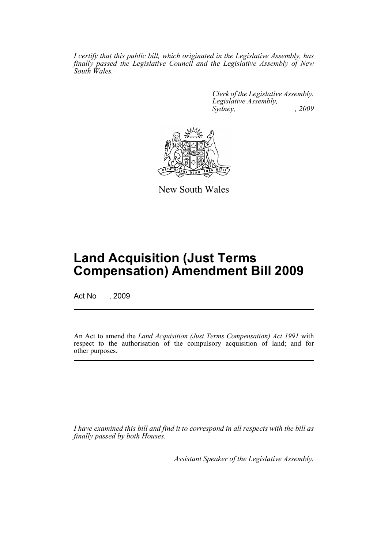*I certify that this public bill, which originated in the Legislative Assembly, has finally passed the Legislative Council and the Legislative Assembly of New South Wales.*

> *Clerk of the Legislative Assembly. Legislative Assembly, Sydney, , 2009*



New South Wales

## **Land Acquisition (Just Terms Compensation) Amendment Bill 2009**

Act No , 2009

An Act to amend the *Land Acquisition (Just Terms Compensation) Act 1991* with respect to the authorisation of the compulsory acquisition of land; and for other purposes.

*I have examined this bill and find it to correspond in all respects with the bill as finally passed by both Houses.*

*Assistant Speaker of the Legislative Assembly.*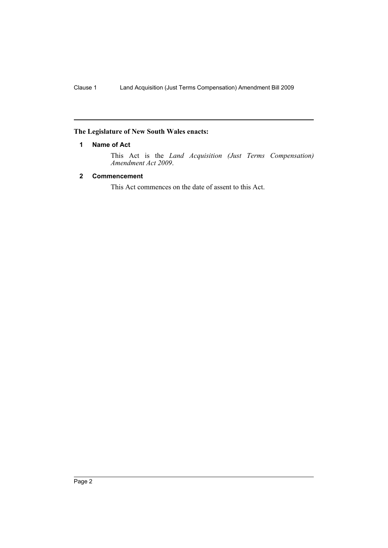### <span id="page-2-0"></span>**The Legislature of New South Wales enacts:**

#### **1 Name of Act**

This Act is the *Land Acquisition (Just Terms Compensation) Amendment Act 2009*.

#### <span id="page-2-1"></span>**2 Commencement**

This Act commences on the date of assent to this Act.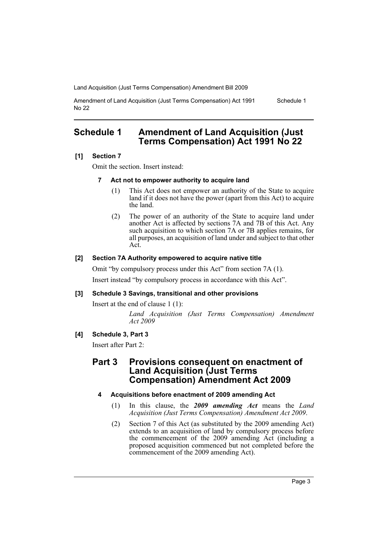Land Acquisition (Just Terms Compensation) Amendment Bill 2009

Amendment of Land Acquisition (Just Terms Compensation) Act 1991 No 22 Schedule 1

## <span id="page-3-0"></span>**Schedule 1 Amendment of Land Acquisition (Just Terms Compensation) Act 1991 No 22**

#### **[1] Section 7**

Omit the section. Insert instead:

#### **7 Act not to empower authority to acquire land**

- (1) This Act does not empower an authority of the State to acquire land if it does not have the power (apart from this Act) to acquire the land.
- (2) The power of an authority of the State to acquire land under another Act is affected by sections 7A and 7B of this Act. Any such acquisition to which section 7A or 7B applies remains, for all purposes, an acquisition of land under and subject to that other Act.

#### **[2] Section 7A Authority empowered to acquire native title**

Omit "by compulsory process under this Act" from section 7A (1).

Insert instead "by compulsory process in accordance with this Act".

#### **[3] Schedule 3 Savings, transitional and other provisions**

Insert at the end of clause 1 (1):

*Land Acquisition (Just Terms Compensation) Amendment Act 2009*

#### **[4] Schedule 3, Part 3**

Insert after Part 2:

## **Part 3 Provisions consequent on enactment of Land Acquisition (Just Terms Compensation) Amendment Act 2009**

#### **4 Acquisitions before enactment of 2009 amending Act**

- (1) In this clause, the *2009 amending Act* means the *Land Acquisition (Just Terms Compensation) Amendment Act 2009*.
- (2) Section 7 of this Act (as substituted by the 2009 amending Act) extends to an acquisition of land by compulsory process before the commencement of the 2009 amending Act (including a proposed acquisition commenced but not completed before the commencement of the 2009 amending Act).